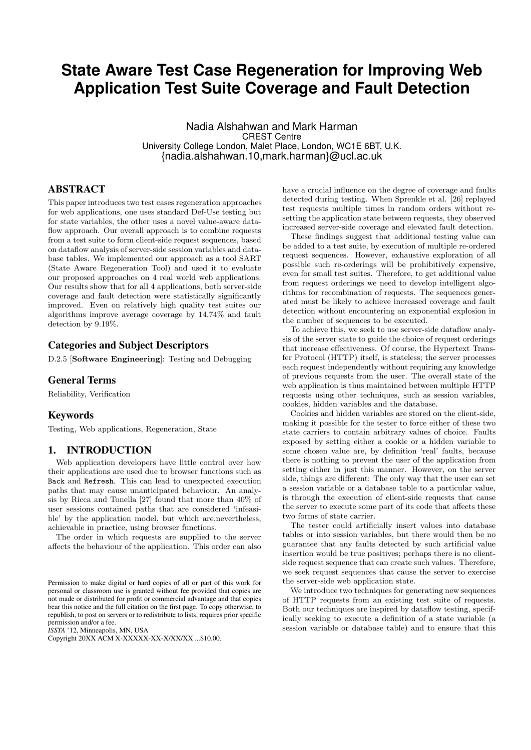# **State Aware Test Case Regeneration for Improving Web Application Test Suite Coverage and Fault Detection**

Nadia Alshahwan and Mark Harman CREST Centre University College London, Malet Place, London, WC1E 6BT, U.K. {nadia.alshahwan.10,mark.harman}@ucl.ac.uk

# ABSTRACT

This paper introduces two test cases regeneration approaches for web applications, one uses standard Def-Use testing but for state variables, the other uses a novel value-aware dataflow approach. Our overall approach is to combine requests from a test suite to form client-side request sequences, based on dataflow analysis of server-side session variables and database tables. We implemented our approach as a tool SART (State Aware Regeneration Tool) and used it to evaluate our proposed approaches on 4 real world web applications. Our results show that for all 4 applications, both server-side coverage and fault detection were statistically significantly improved. Even on relatively high quality test suites our algorithms improve average coverage by 14.74% and fault detection by 9.19%.

# Categories and Subject Descriptors

D.2.5 [Software Engineering]: Testing and Debugging

# General Terms

Reliability, Verification

# Keywords

Testing, Web applications, Regeneration, State

# 1. INTRODUCTION

Web application developers have little control over how their applications are used due to browser functions such as Back and Refresh. This can lead to unexpected execution paths that may cause unanticipated behaviour. An analysis by Ricca and Tonella [27] found that more than 40% of user sessions contained paths that are considered 'infeasible' by the application model, but which are,nevertheless, achievable in practice, using browser functions.

The order in which requests are supplied to the server affects the behaviour of the application. This order can also

*ISSTA* '12, Minneapolis, MN, USA

Copyright 20XX ACM X-XXXXX-XX-X/XX/XX ...\$10.00.

have a crucial influence on the degree of coverage and faults detected during testing. When Sprenkle et al. [26] replayed test requests multiple times in random orders without resetting the application state between requests, they observed increased server-side coverage and elevated fault detection.

These findings suggest that additional testing value can be added to a test suite, by execution of multiple re-ordered request sequences. However, exhaustive exploration of all possible such re-orderings will be prohibitively expensive, even for small test suites. Therefore, to get additional value from request orderings we need to develop intelligent algorithms for recombination of requests. The sequences generated must be likely to achieve increased coverage and fault detection without encountering an exponential explosion in the number of sequences to be executed.

To achieve this, we seek to use server-side dataflow analysis of the server state to guide the choice of request orderings that increase effectiveness. Of course, the Hypertext Transfer Protocol (HTTP) itself, is stateless; the server processes each request independently without requiring any knowledge of previous requests from the user. The overall state of the web application is thus maintained between multiple HTTP requests using other techniques, such as session variables, cookies, hidden variables and the database.

Cookies and hidden variables are stored on the client-side, making it possible for the tester to force either of these two state carriers to contain arbitrary values of choice. Faults exposed by setting either a cookie or a hidden variable to some chosen value are, by definition 'real' faults, because there is nothing to prevent the user of the application from setting either in just this manner. However, on the server side, things are different: The only way that the user can set a session variable or a database table to a particular value, is through the execution of client-side requests that cause the server to execute some part of its code that affects these two forms of state carrier.

The tester could artificially insert values into database tables or into session variables, but there would then be no guarantee that any faults detected by such artificial value insertion would be true positives; perhaps there is no clientside request sequence that can create such values. Therefore, we seek request sequences that cause the server to exercise the server-side web application state.

We introduce two techniques for generating new sequences of HTTP requests from an existing test suite of requests. Both our techniques are inspired by dataflow testing, specifically seeking to execute a definition of a state variable (a session variable or database table) and to ensure that this

Permission to make digital or hard copies of all or part of this work for personal or classroom use is granted without fee provided that copies are not made or distributed for profit or commercial advantage and that copies bear this notice and the full citation on the first page. To copy otherwise, to republish, to post on servers or to redistribute to lists, requires prior specific permission and/or a fee.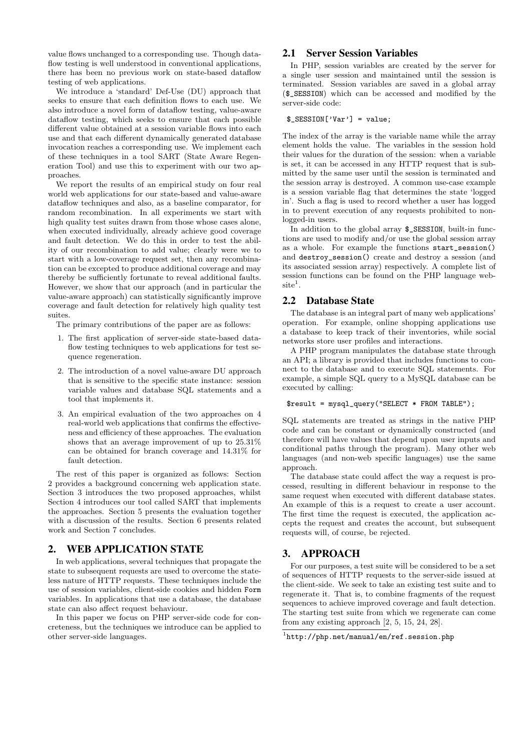value flows unchanged to a corresponding use. Though dataflow testing is well understood in conventional applications, there has been no previous work on state-based dataflow testing of web applications.

We introduce a 'standard' Def-Use (DU) approach that seeks to ensure that each definition flows to each use. We also introduce a novel form of dataflow testing, value-aware dataflow testing, which seeks to ensure that each possible different value obtained at a session variable flows into each use and that each different dynamically generated database invocation reaches a corresponding use. We implement each of these techniques in a tool SART (State Aware Regeneration Tool) and use this to experiment with our two approaches.

We report the results of an empirical study on four real world web applications for our state-based and value-aware dataflow techniques and also, as a baseline comparator, for random recombination. In all experiments we start with high quality test suites drawn from those whose cases alone, when executed individually, already achieve good coverage and fault detection. We do this in order to test the ability of our recombination to add value; clearly were we to start with a low-coverage request set, then any recombination can be excepted to produce additional coverage and may thereby be sufficiently fortunate to reveal additional faults. However, we show that our approach (and in particular the value-aware approach) can statistically significantly improve coverage and fault detection for relatively high quality test suites.

The primary contributions of the paper are as follows:

- 1. The first application of server-side state-based dataflow testing techniques to web applications for test sequence regeneration.
- 2. The introduction of a novel value-aware DU approach that is sensitive to the specific state instance: session variable values and database SQL statements and a tool that implements it.
- 3. An empirical evaluation of the two approaches on 4 real-world web applications that confirms the effectiveness and efficiency of these approaches. The evaluation shows that an average improvement of up to 25.31% can be obtained for branch coverage and 14.31% for fault detection.

The rest of this paper is organized as follows: Section 2 provides a background concerning web application state. Section 3 introduces the two proposed approaches, whilst Section 4 introduces our tool called SART that implements the approaches. Section 5 presents the evaluation together with a discussion of the results. Section 6 presents related work and Section 7 concludes.

# 2. WEB APPLICATION STATE

In web applications, several techniques that propagate the state to subsequent requests are used to overcome the stateless nature of HTTP requests. These techniques include the use of session variables, client-side cookies and hidden Form variables. In applications that use a database, the database state can also affect request behaviour.

In this paper we focus on PHP server-side code for concreteness, but the techniques we introduce can be applied to other server-side languages.

# 2.1 Server Session Variables

In PHP, session variables are created by the server for a single user session and maintained until the session is terminated. Session variables are saved in a global array (\$\_SESSION) which can be accessed and modified by the server-side code:

#### \$\_SESSION['Var'] = value;

The index of the array is the variable name while the array element holds the value. The variables in the session hold their values for the duration of the session: when a variable is set, it can be accessed in any HTTP request that is submitted by the same user until the session is terminated and the session array is destroyed. A common use-case example is a session variable flag that determines the state 'logged in'. Such a flag is used to record whether a user has logged in to prevent execution of any requests prohibited to nonlogged-in users.

In addition to the global array \$\_SESSION, built-in functions are used to modify and/or use the global session array as a whole. For example the functions start\_session() and destroy\_session() create and destroy a session (and its associated session array) respectively. A complete list of session functions can be found on the PHP language web- $\mathrm{site}^1$ .

# 2.2 Database State

The database is an integral part of many web applications' operation. For example, online shopping applications use a database to keep track of their inventories, while social networks store user profiles and interactions.

A PHP program manipulates the database state through an API; a library is provided that includes functions to connect to the database and to execute SQL statements. For example, a simple SQL query to a MySQL database can be executed by calling:

#### \$result = mysql\_query("SELECT \* FROM TABLE");

SQL statements are treated as strings in the native PHP code and can be constant or dynamically constructed (and therefore will have values that depend upon user inputs and conditional paths through the program). Many other web languages (and non-web specific languages) use the same approach.

The database state could affect the way a request is processed, resulting in different behaviour in response to the same request when executed with different database states. An example of this is a request to create a user account. The first time the request is executed, the application accepts the request and creates the account, but subsequent requests will, of course, be rejected.

# 3. APPROACH

For our purposes, a test suite will be considered to be a set of sequences of HTTP requests to the server-side issued at the client-side. We seek to take an existing test suite and to regenerate it. That is, to combine fragments of the request sequences to achieve improved coverage and fault detection. The starting test suite from which we regenerate can come from any existing approach [2, 5, 15, 24, 28].

<sup>1</sup> http://php.net/manual/en/ref.session.php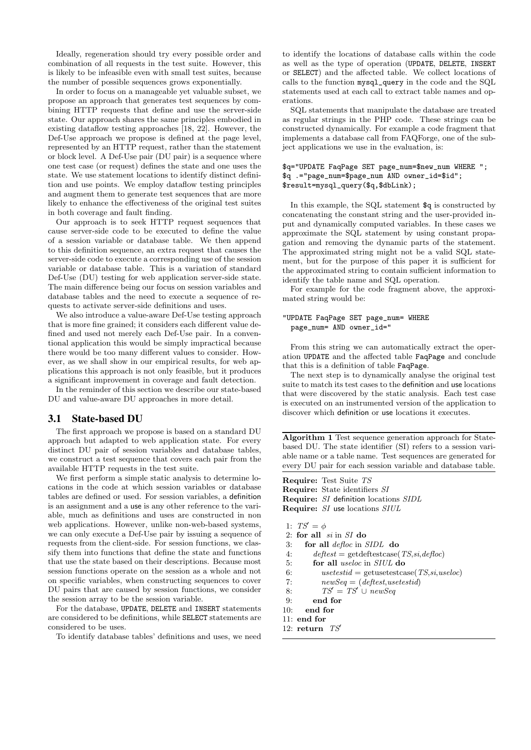Ideally, regeneration should try every possible order and combination of all requests in the test suite. However, this is likely to be infeasible even with small test suites, because the number of possible sequences grows exponentially.

In order to focus on a manageable yet valuable subset, we propose an approach that generates test sequences by combining HTTP requests that define and use the server-side state. Our approach shares the same principles embodied in existing dataflow testing approaches [18, 22]. However, the Def-Use approach we propose is defined at the page level, represented by an HTTP request, rather than the statement or block level. A Def-Use pair (DU pair) is a sequence where one test case (or request) defines the state and one uses the state. We use statement locations to identify distinct definition and use points. We employ dataflow testing principles and augment them to generate test sequences that are more likely to enhance the effectiveness of the original test suites in both coverage and fault finding.

Our approach is to seek HTTP request sequences that cause server-side code to be executed to define the value of a session variable or database table. We then append to this definition sequence, an extra request that causes the server-side code to execute a corresponding use of the session variable or database table. This is a variation of standard Def-Use (DU) testing for web application server-side state. The main difference being our focus on session variables and database tables and the need to execute a sequence of requests to activate server-side definitions and uses.

We also introduce a value-aware Def-Use testing approach that is more fine grained; it considers each different value defined and used not merely each Def-Use pair. In a conventional application this would be simply impractical because there would be too many different values to consider. However, as we shall show in our empirical results, for web applications this approach is not only feasible, but it produces a significant improvement in coverage and fault detection.

In the reminder of this section we describe our state-based DU and value-aware DU approaches in more detail.

### 3.1 State-based DU

The first approach we propose is based on a standard DU approach but adapted to web application state. For every distinct DU pair of session variables and database tables, we construct a test sequence that covers each pair from the available HTTP requests in the test suite.

We first perform a simple static analysis to determine locations in the code at which session variables or database tables are defined or used. For session variables, a definition is an assignment and a use is any other reference to the variable, much as definitions and uses are constructed in non web applications. However, unlike non-web-based systems, we can only execute a Def-Use pair by issuing a sequence of requests from the client-side. For session functions, we classify them into functions that define the state and functions that use the state based on their descriptions. Because most session functions operate on the session as a whole and not on specific variables, when constructing sequences to cover DU pairs that are caused by session functions, we consider the session array to be the session variable.

For the database, UPDATE, DELETE and INSERT statements are considered to be definitions, while SELECT statements are considered to be uses.

To identify database tables' definitions and uses, we need

to identify the locations of database calls within the code as well as the type of operation (UPDATE, DELETE, INSERT or SELECT) and the affected table. We collect locations of calls to the function mysql\_query in the code and the SQL statements used at each call to extract table names and operations.

SQL statements that manipulate the database are treated as regular strings in the PHP code. These strings can be constructed dynamically. For example a code fragment that implements a database call from FAQForge, one of the subject applications we use in the evaluation, is:

#### \$q="UPDATE FaqPage SET page\_num=\$new\_num WHERE "; \$q .="page\_num=\$page\_num AND owner\_id=\$id"; \$result=mysql\_query(\$q,\$dbLink);

In this example, the SQL statement \$q is constructed by concatenating the constant string and the user-provided input and dynamically computed variables. In these cases we approximate the SQL statement by using constant propagation and removing the dynamic parts of the statement. The approximated string might not be a valid SQL statement, but for the purpose of this paper it is sufficient for the approximated string to contain sufficient information to identify the table name and SQL operation.

For example for the code fragment above, the approximated string would be:

### "UPDATE FaqPage SET page\_num= WHERE page\_num= AND owner\_id="

From this string we can automatically extract the operation UPDATE and the affected table FaqPage and conclude that this is a definition of table FaqPage.

The next step is to dynamically analyse the original test suite to match its test cases to the definition and use locations that were discovered by the static analysis. Each test case is executed on an instrumented version of the application to discover which definition or use locations it executes.

Algorithm 1 Test sequence generation approach for Statebased DU. The state identifier (SI) refers to a session variable name or a table name. Test sequences are generated for every DU pair for each session variable and database table.

Require: Test Suite TS Require: State identifiers SI Require: SI definition locations SIDL Require: SI use locations SIUL 1:  $TS' = \phi$ 2: for all  $si$  in  $SI$  do 3: for all defloc in SIDL do 4:  $deftest = getdeftestcase(TS, si, defloc)$ 5: for all useloc in SIUL do

- 6:  $usetestid = getusetestcase(TS, si, useloc)$
- 7:  $newSeq = (deftest, use testid)$
- 8:  $TS' = TS' \cup newSeq$
- 9: end for
- 10: end for
- 11: end for
- 12:  $return$   $TS'$
-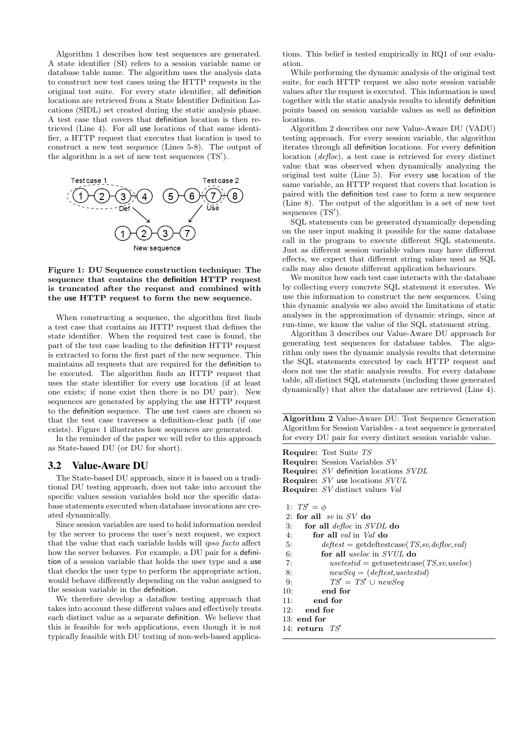Algorithm 1 describes how test sequences are generated. A state identifier (SI) refers to a session variable name or database table name. The algorithm uses the analysis data to construct new test cases using the HTTP requests in the original test suite. For every state identifier, all definition locations are retrieved from a State Identifier Definition Locations (SIDL) set created during the static analysis phase. A test case that covers that definition location is then retrieved (Line 4). For all use locations of that same identifier, a HTTP request that executes that location is used to construct a new test sequence (Lines 5-8). The output of the algorithm is a set of new test sequences  $(TS')$ .



Figure 1: DU Sequence construction technique: The sequence that contains the definition HTTP request is truncated after the request and combined with the use HTTP request to form the new sequence.

When constructing a sequence, the algorithm first finds a test case that contains an HTTP request that defines the state identifier. When the required test case is found, the part of the test case leading to the definition HTTP request is extracted to form the first part of the new sequence. This maintains all requests that are required for the definition to be executed. The algorithm finds an HTTP request that uses the state identifier for every use location (if at least one exists; if none exist then there is no DU pair). New sequences are generated by applying the use HTTP request to the definition sequence. The use test cases are chosen so that the test case traverses a definition-clear path (if one exists). Figure 1 illustrates how sequences are generated.

In the reminder of the paper we will refer to this approach as State-based DU (or DU for short).

### 3.2 Value-Aware DU

The State-based DU approach, since it is based on a traditional DU testing approach, does not take into account the specific values session variables hold nor the specific database statements executed when database invocations are created dynamically.

Since session variables are used to hold information needed by the server to process the user's next request, we expect that the value that each variable holds will ipso facto affect how the server behaves. For example, a DU pair for a definition of a session variable that holds the user type and a use that checks the user type to perform the appropriate action, would behave differently depending on the value assigned to the session variable in the definition.

We therefore develop a dataflow testing approach that takes into account these different values and effectively treats each distinct value as a separate definition. We believe that this is feasible for web applications, even though it is not typically feasible with DU testing of non-web-based applica-

tions. This belief is tested empirically in RQ1 of our evaluation.

While performing the dynamic analysis of the original test suite, for each HTTP request we also note session variable values after the request is executed. This information is used together with the static analysis results to identify definition points based on session variable values as well as definition locations.

Algorithm 2 describes our new Value-Aware DU (VADU) testing approach. For every session variable, the algorithm iterates through all definition locations. For every definition location (defloc), a test case is retrieved for every distinct value that was observed when dynamically analyzing the original test suite (Line 5). For every use location of the same variable, an HTTP request that covers that location is paired with the definition test case to form a new sequence (Line 8). The output of the algorithm is a set of new test  $sequences$   $(TS')$ .

SQL statements can be generated dynamically depending on the user input making it possible for the same database call in the program to execute different SQL statements. Just as different session variable values may have different effects, we expect that different string values used as SQL calls may also denote different application behaviours.

We monitor how each test case interacts with the database by collecting every concrete SQL statement it executes. We use this information to construct the new sequences. Using this dynamic analysis we also avoid the limitations of static analyses in the approximation of dynamic strings, since at run-time, we know the value of the SQL statement string.

Algorithm 3 describes our Value-Aware DU approach for generating test sequences for database tables. The algorithm only uses the dynamic analysis results that determine the SQL statements executed by each HTTP request and does not use the static analysis results. For every database table, all distinct SQL statements (including those generated dynamically) that alter the database are retrieved (Line 4).

Algorithm 2 Value-Aware DU: Test Sequence Generation Algorithm for Session Variables - a test sequence is generated for every DU pair for every distinct session variable value.

|     | <b>Require:</b> Test Suite TS                   |
|-----|-------------------------------------------------|
|     | <b>Require:</b> Session Variables SV            |
|     | <b>Require:</b> SV definition locations SVDL    |
|     | <b>Require:</b> SV use locations $SVUL$         |
|     | <b>Require:</b> SV distinct values Val          |
|     | 1: $TS' = \phi$                                 |
|     | 2: for all $sv$ in SV do                        |
| 3:  | for all <i>defloc</i> in <i>SVDL</i> do         |
| 4:  | for all <i>val</i> in <i>Val</i> do             |
| 5:  | $deftest = getdeftestcase(TS, sv, defloc, val)$ |
| 6:  | for all <i>useloc</i> in <i>SVUL</i> do         |
| 7:  | $usetestid = getusetestcase(TS, sv, useloc)$    |
| 8:  | $newSeq = (deftest, use testid)$                |
| 9:  | $TS' = TS' \cup newSeq$                         |
| 10: | end for                                         |
| 11: | end for                                         |
|     | 12: end for                                     |
|     | $13:$ end for                                   |
|     | 14: return $TS'$                                |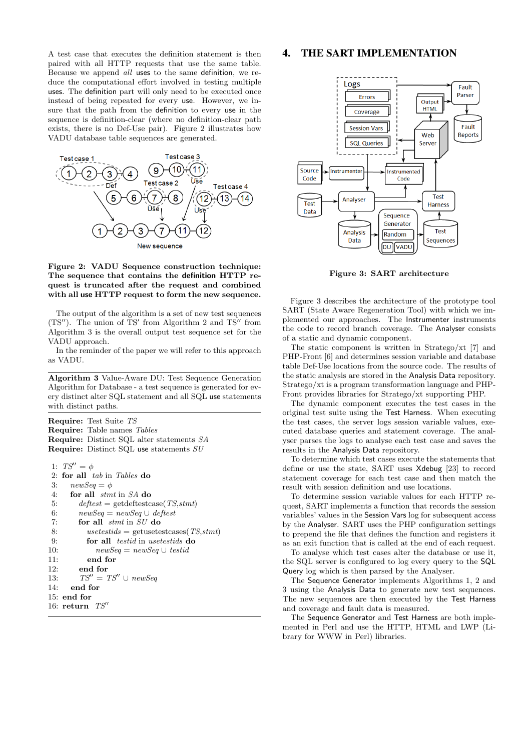A test case that executes the definition statement is then paired with all HTTP requests that use the same table. Because we append all uses to the same definition, we reduce the computational effort involved in testing multiple uses. The definition part will only need to be executed once instead of being repeated for every use. However, we insure that the path from the definition to every use in the sequence is definition-clear (where no definition-clear path exists, there is no Def-Use pair). Figure 2 illustrates how VADU database table sequences are generated.



#### Figure 2: VADU Sequence construction technique: The sequence that contains the definition HTTP request is truncated after the request and combined with all use HTTP request to form the new sequence.

The output of the algorithm is a set of new test sequences  $(TS'')$ . The union of  $TS'$  from Algorithm 2 and  $TS''$  from Algorithm 3 is the overall output test sequence set for the VADU approach.

In the reminder of the paper we will refer to this approach as VADU.

Algorithm 3 Value-Aware DU: Test Sequence Generation Algorithm for Database - a test sequence is generated for every distinct alter SQL statement and all SQL use statements with distinct paths.

Require: Test Suite TS Require: Table names Tables Require: Distinct SQL alter statements SA Require: Distinct SQL use statements SU 1:  $TS'' = \phi$ 

```
2: for all tab in Tables do
3: newSeq = \phi4: for all stmt in SA do
5: deftest = getdeftestcase(TS,stm)6: newSeq = newSeq \cup deftest7: for all stmt in SU do
8: usetestids = getusetestcases(TS,stm)9: for all testid in usetestids do
10: newSeq = newSeq \cup testid11: end for
12: end for
13: TS'' = TS'' \cup newSeq14: end for
15: end for
16: return TS''
```
# 4. THE SART IMPLEMENTATION



Figure 3: SART architecture

Figure 3 describes the architecture of the prototype tool SART (State Aware Regeneration Tool) with which we implemented our approaches. The Instrumenter instruments the code to record branch coverage. The Analyser consists of a static and dynamic component.

The static component is written in Stratego/xt [7] and PHP-Front [6] and determines session variable and database table Def-Use locations from the source code. The results of the static analysis are stored in the Analysis Data repository. Stratego/xt is a program transformation language and PHP-Front provides libraries for Stratego/xt supporting PHP.

The dynamic component executes the test cases in the original test suite using the Test Harness. When executing the test cases, the server logs session variable values, executed database queries and statement coverage. The analyser parses the logs to analyse each test case and saves the results in the Analysis Data repository.

To determine which test cases execute the statements that define or use the state, SART uses Xdebug [23] to record statement coverage for each test case and then match the result with session definition and use locations.

To determine session variable values for each HTTP request, SART implements a function that records the session variables' values in the Session Vars log for subsequent access by the Analyser. SART uses the PHP configuration settings to prepend the file that defines the function and registers it as an exit function that is called at the end of each request.

To analyse which test cases alter the database or use it, the SQL server is configured to log every query to the SQL Query log which is then parsed by the Analyser.

The Sequence Generator implements Algorithms 1, 2 and 3 using the Analysis Data to generate new test sequences. The new sequences are then executed by the Test Harness and coverage and fault data is measured.

The Sequence Generator and Test Harness are both implemented in Perl and use the HTTP, HTML and LWP (Library for WWW in Perl) libraries.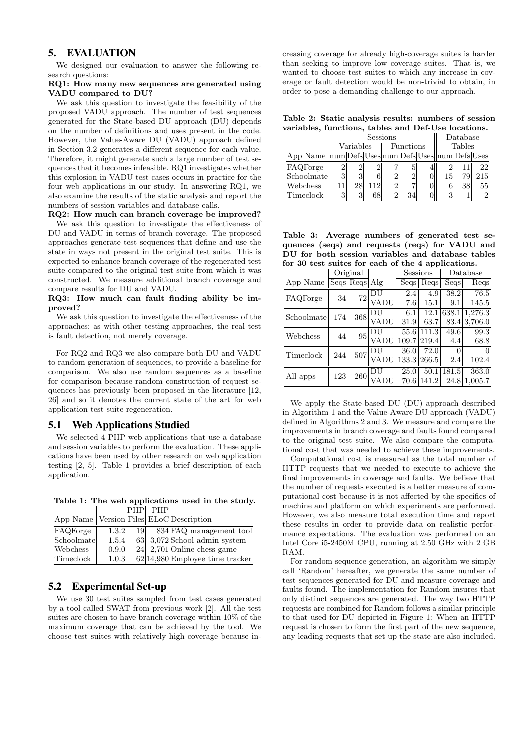# 5. EVALUATION

We designed our evaluation to answer the following research questions:

#### RQ1: How many new sequences are generated using VADU compared to DU?

We ask this question to investigate the feasibility of the proposed VADU approach. The number of test sequences generated for the State-based DU approach (DU) depends on the number of definitions and uses present in the code. However, the Value-Aware DU (VADU) approach defined in Section 3.2 generates a different sequence for each value. Therefore, it might generate such a large number of test sequences that it becomes infeasible. RQ1 investigates whether this explosion in VADU test cases occurs in practice for the four web applications in our study. In answering RQ1, we also examine the results of the static analysis and report the numbers of session variables and database calls.

#### RQ2: How much can branch coverage be improved?

We ask this question to investigate the effectiveness of DU and VADU in terms of branch coverage. The proposed approaches generate test sequences that define and use the state in ways not present in the original test suite. This is expected to enhance branch coverage of the regenerated test suite compared to the original test suite from which it was constructed. We measure additional branch coverage and compare results for DU and VADU.

### RQ3: How much can fault finding ability be improved?

We ask this question to investigate the effectiveness of the approaches; as with other testing approaches, the real test is fault detection, not merely coverage.

For RQ2 and RQ3 we also compare both DU and VADU to random generation of sequences, to provide a baseline for comparison. We also use random sequences as a baseline for comparison because random construction of request sequences has previously been proposed in the literature [12, 26] and so it denotes the current state of the art for web application test suite regeneration.

# 5.1 Web Applications Studied

We selected 4 PHP web applications that use a database and session variables to perform the evaluation. These applications have been used by other research on web application testing [2, 5]. Table 1 provides a brief description of each application.

Table 1: The web applications used in the study.

|                                            |       | PHP | PHP |                                    |
|--------------------------------------------|-------|-----|-----|------------------------------------|
| App Name   Version Files  ELoC Description |       |     |     |                                    |
| FAQForge                                   | 1.3.2 | 19  |     | $834$ FAQ management tool          |
| Schoolmate                                 | 1.5.4 |     |     | $63$ 3,072 School admin system     |
| Webchess                                   | 0.9.0 |     |     | $24$ 2,701 Online chess game       |
| Timeclock                                  | 1.0.3 |     |     | $62 14,980 $ Employee time tracker |

# 5.2 Experimental Set-up

We use 30 test suites sampled from test cases generated by a tool called SWAT from previous work [2]. All the test suites are chosen to have branch coverage within 10% of the maximum coverage that can be achieved by the tool. We choose test suites with relatively high coverage because in-

creasing coverage for already high-coverage suites is harder than seeking to improve low coverage suites. That is, we wanted to choose test suites to which any increase in coverage or fault detection would be non-trivial to obtain, in order to pose a demanding challenge to our approach.

Table 2: Static analysis results: numbers of session variables, functions, tables and Def-Use locations.

|                                                                      |   |           | Database |                |    |  |               |    |     |
|----------------------------------------------------------------------|---|-----------|----------|----------------|----|--|---------------|----|-----|
|                                                                      |   | Variables |          | Functions      |    |  | <b>Tables</b> |    |     |
| App Name $\text{num}$ Defs Uses num Defs Uses $\text{num}$ Defs Uses |   |           |          |                |    |  |               |    |     |
| FAQForge                                                             |   |           |          |                |    |  |               |    | 22  |
| Schoolmate                                                           | 3 |           |          | $\overline{2}$ |    |  | 15            | 79 | 215 |
| Webchess                                                             |   | 28        | 112      | $\overline{2}$ |    |  |               | 38 | 55  |
| Timeclock                                                            | 2 |           |          | 2              | 34 |  | 3             |    |     |

Table 3: Average numbers of generated test sequences (seqs) and requests (reqs) for VADU and DU for both session variables and database tables for 30 test suites for each of the 4 applications.

|            |     | Original      |      |       | Sessions | Database |         |  |  |
|------------|-----|---------------|------|-------|----------|----------|---------|--|--|
| App Name   |     | Segs Regs Alg |      | Seqs  | Reqs     | Seqs     | Reqs    |  |  |
| FAQForge   | 34  | 72            | DU   | 2.4   | 4.9      | 38.2     | 76.5    |  |  |
|            |     |               | VADU | 7.6   | 15.1     | 9.1      | 145.5   |  |  |
| Schoolmate | 174 | 368           | 'DU  | 6.1   | 12.1     | 638.1    | 1,276.3 |  |  |
|            |     |               | VADU | 31.9  | 63.7     | 83.4     | 3,706.0 |  |  |
| Webchess   | 44  | 95            | DU   | 55.6  | 111.3    | 49.6     | 99.3    |  |  |
|            |     |               | VADU | 109.7 | 219.4    | 4.4      | 68.8    |  |  |
| Timeclock  | 244 | 507           | DU   | 36.0  | 72.0     | 0        | ∩       |  |  |
|            |     |               | VADU | 133.3 | 266.5    | 2.4      | 102.4   |  |  |
|            | 123 | $260\,$       | DU   | 25.0  | 50.1     | 181.5    | 363.0   |  |  |
| All apps   |     |               |      | 70.6  | 141.2    | 24.8     | 1,005.7 |  |  |

We apply the State-based DU (DU) approach described in Algorithm 1 and the Value-Aware DU approach (VADU) defined in Algorithms 2 and 3. We measure and compare the improvements in branch coverage and faults found compared to the original test suite. We also compare the computational cost that was needed to achieve these improvements.

Computational cost is measured as the total number of HTTP requests that we needed to execute to achieve the final improvements in coverage and faults. We believe that the number of requests executed is a better measure of computational cost because it is not affected by the specifics of machine and platform on which experiments are performed. However, we also measure total execution time and report these results in order to provide data on realistic performance expectations. The evaluation was performed on an Intel Core i5-2450M CPU, running at 2.50 GHz with 2 GB RAM.

For random sequence generation, an algorithm we simply call 'Random' hereafter, we generate the same number of test sequences generated for DU and measure coverage and faults found. The implementation for Random insures that only distinct sequences are generated. The way two HTTP requests are combined for Random follows a similar principle to that used for DU depicted in Figure 1: When an HTTP request is chosen to form the first part of the new sequence, any leading requests that set up the state are also included.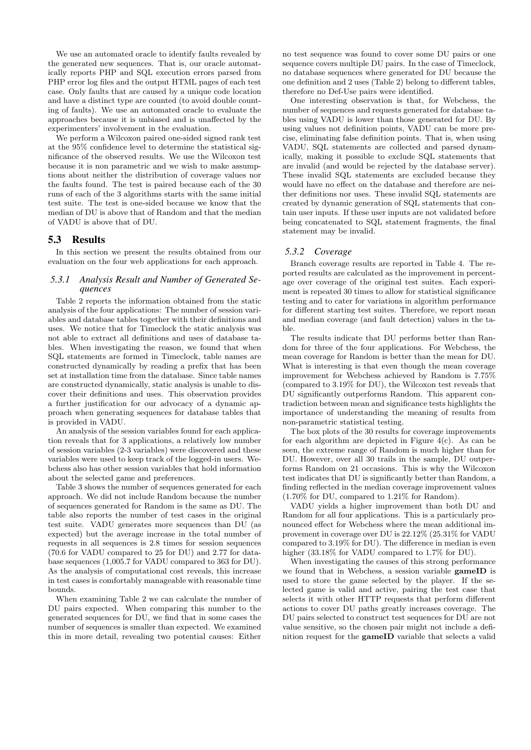We use an automated oracle to identify faults revealed by the generated new sequences. That is, our oracle automatically reports PHP and SQL execution errors parsed from PHP error log files and the output HTML pages of each test case. Only faults that are caused by a unique code location and have a distinct type are counted (to avoid double counting of faults). We use an automated oracle to evaluate the approaches because it is unbiased and is unaffected by the experimenters' involvement in the evaluation.

We perform a Wilcoxon paired one-sided signed rank test at the 95% confidence level to determine the statistical significance of the observed results. We use the Wilcoxon test because it is non parametric and we wish to make assumptions about neither the distribution of coverage values nor the faults found. The test is paired because each of the 30 runs of each of the 3 algorithms starts with the same initial test suite. The test is one-sided because we know that the median of DU is above that of Random and that the median of VADU is above that of DU.

### 5.3 Results

In this section we present the results obtained from our evaluation on the four web applications for each approach.

### *5.3.1 Analysis Result and Number of Generated Sequences*

Table 2 reports the information obtained from the static analysis of the four applications: The number of session variables and database tables together with their definitions and uses. We notice that for Timeclock the static analysis was not able to extract all definitions and uses of database tables. When investigating the reason, we found that when SQL statements are formed in Timeclock, table names are constructed dynamically by reading a prefix that has been set at installation time from the database. Since table names are constructed dynamically, static analysis is unable to discover their definitions and uses. This observation provides a further justification for our advocacy of a dynamic approach when generating sequences for database tables that is provided in VADU.

An analysis of the session variables found for each application reveals that for 3 applications, a relatively low number of session variables (2-3 variables) were discovered and these variables were used to keep track of the logged-in users. Webchess also has other session variables that hold information about the selected game and preferences.

Table 3 shows the number of sequences generated for each approach. We did not include Random because the number of sequences generated for Random is the same as DU. The table also reports the number of test cases in the original test suite. VADU generates more sequences than DU (as expected) but the average increase in the total number of requests in all sequences is 2.8 times for session sequences (70.6 for VADU compared to 25 for DU) and 2.77 for database sequences (1,005.7 for VADU compared to 363 for DU). As the analysis of computational cost reveals, this increase in test cases is comfortably manageable with reasonable time bounds.

When examining Table 2 we can calculate the number of DU pairs expected. When comparing this number to the generated sequences for DU, we find that in some cases the number of sequences is smaller than expected. We examined this in more detail, revealing two potential causes: Either

no test sequence was found to cover some DU pairs or one sequence covers multiple DU pairs. In the case of Timeclock, no database sequences where generated for DU because the one definition and 2 uses (Table 2) belong to different tables, therefore no Def-Use pairs were identified.

One interesting observation is that, for Webchess, the number of sequences and requests generated for database tables using VADU is lower than those generated for DU. By using values not definition points, VADU can be more precise, eliminating false definition points. That is, when using VADU, SQL statements are collected and parsed dynamically, making it possible to exclude SQL statements that are invalid (and would be rejected by the database server). These invalid SQL statements are excluded because they would have no effect on the database and therefore are neither definitions nor uses. These invalid SQL statements are created by dynamic generation of SQL statements that contain user inputs. If these user inputs are not validated before being concatenated to SQL statement fragments, the final statement may be invalid.

### *5.3.2 Coverage*

Branch coverage results are reported in Table 4. The reported results are calculated as the improvement in percentage over coverage of the original test suites. Each experiment is repeated 30 times to allow for statistical significance testing and to cater for variations in algorithm performance for different starting test suites. Therefore, we report mean and median coverage (and fault detection) values in the table.

The results indicate that DU performs better than Random for three of the four applications. For Webchess, the mean coverage for Random is better than the mean for DU. What is interesting is that even though the mean coverage improvement for Webchess achieved by Random is 7.75% (compared to 3.19% for DU), the Wilcoxon test reveals that DU significantly outperforms Random. This apparent contradiction between mean and significance tests highlights the importance of understanding the meaning of results from non-parametric statistical testing.

The box plots of the 30 results for coverage improvements for each algorithm are depicted in Figure  $4(c)$ . As can be seen, the extreme range of Random is much higher than for DU. However, over all 30 trails in the sample, DU outperforms Random on 21 occasions. This is why the Wilcoxon test indicates that DU is significantly better than Random, a finding reflected in the median coverage improvement values (1.70% for DU, compared to 1.21% for Random).

VADU yields a higher improvement than both DU and Random for all four applications. This is a particularly pronounced effect for Webchess where the mean additional improvement in coverage over DU is 22.12% (25.31% for VADU compared to 3.19% for DU). The difference in median is even higher (33.18% for VADU compared to 1.7% for DU).

When investigating the causes of this strong performance we found that in Webchess, a session variable gameID is used to store the game selected by the player. If the selected game is valid and active, pairing the test case that selects it with other HTTP requests that perform different actions to cover DU paths greatly increases coverage. The DU pairs selected to construct test sequences for DU are not value sensitive, so the chosen pair might not include a definition request for the gameID variable that selects a valid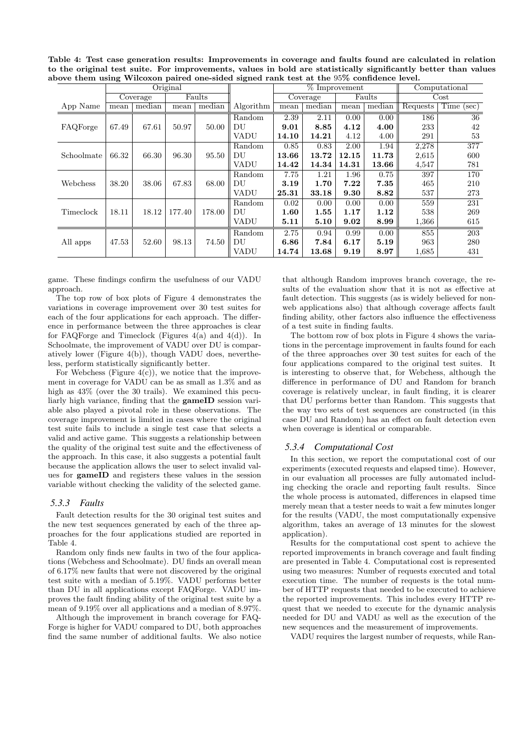Table 4: Test case generation results: Improvements in coverage and faults found are calculated in relation to the original test suite. For improvements, values in bold are statistically significantly better than values above them using Wilcoxon paired one-sided signed rank test at the 95% confidence level.

|            | Original |          |        |        | $%$ Improvement |          |        |        | Computational |            |                  |
|------------|----------|----------|--------|--------|-----------------|----------|--------|--------|---------------|------------|------------------|
|            |          | Coverage | Faults |        |                 | Coverage |        | Faults |               | $\rm Cost$ |                  |
| App Name   | mean     | median   | mean   | median | Algorithm       | mean     | median | mean   | median        | Requests   | Time (sec)       |
|            |          |          |        |        | Random          | 2.39     | 2.11   | 0.00   | 0.00          | 186        | 36               |
| FAQForge   | 67.49    | 67.61    | 50.97  | 50.00  | DU              | 9.01     | 8.85   | 4.12   | 4.00          | 233        | 42               |
|            |          |          |        |        | VADU            | 14.10    | 14.21  | 4.12   | 4.00          | 291        | 53               |
|            |          |          |        |        | Random          | 0.85     | 0.83   | 2.00   | 1.94          | 2,278      | $\overline{377}$ |
| Schoolmate | 66.32    | 66.30    | 96.30  | 95.50  | DU              | 13.66    | 13.72  | 12.15  | 11.73         | 2,615      | 600              |
|            |          |          |        |        | VADU            | 14.42    | 14.34  | 14.31  | 13.66         | 4,547      | 781              |
|            |          |          |        |        | Random          | 7.75     | 1.21   | 1.96   | 0.75          | 397        | 170              |
| Webchess   | 38.20    | 38.06    | 67.83  | 68.00  | DU              | 3.19     | 1.70   | 7.22   | 7.35          | 465        | 210              |
|            |          |          |        |        | VADU            | 25.31    | 33.18  | 9.30   | 8.82          | 537        | 273              |
|            |          |          |        |        | Random          | 0.02     | 0.00   | 0.00   | 0.00          | 559        | 231              |
| Timeclock  | 18.11    | 18.12    | 177.40 | 178.00 | DU              | 1.60     | 1.55   | 1.17   | 1.12          | 538        | 269              |
|            |          |          |        |        | VADU            | 5.11     | 5.10   | 9.02   | 8.99          | 1,366      | 615              |
|            |          |          |        |        | Random          | 2.75     | 0.94   | 0.99   | 0.00          | 855        | 203              |
| All apps   | 47.53    | 52.60    | 98.13  | 74.50  | DU              | 6.86     | 7.84   | 6.17   | 5.19          | 963        | 280              |
|            |          |          |        |        | VADU            | 14.74    | 13.68  | 9.19   | 8.97          | 1,685      | 431              |

game. These findings confirm the usefulness of our VADU approach.

The top row of box plots of Figure 4 demonstrates the variations in coverage improvement over 30 test suites for each of the four applications for each approach. The difference in performance between the three approaches is clear for FAQForge and Timeclock (Figures  $4(a)$  and  $4(d)$ ). In Schoolmate, the improvement of VADU over DU is comparatively lower (Figure 4(b)), though VADU does, nevertheless, perform statistically significantly better.

For Webchess (Figure  $4(c)$ ), we notice that the improvement in coverage for VADU can be as small as 1.3% and as high as  $43\%$  (over the 30 trails). We examined this peculiarly high variance, finding that the gameID session variable also played a pivotal role in these observations. The coverage improvement is limited in cases where the original test suite fails to include a single test case that selects a valid and active game. This suggests a relationship between the quality of the original test suite and the effectiveness of the approach. In this case, it also suggests a potential fault because the application allows the user to select invalid values for gameID and registers these values in the session variable without checking the validity of the selected game.

### *5.3.3 Faults*

Fault detection results for the 30 original test suites and the new test sequences generated by each of the three approaches for the four applications studied are reported in Table 4.

Random only finds new faults in two of the four applications (Webchess and Schoolmate). DU finds an overall mean of 6.17% new faults that were not discovered by the original test suite with a median of 5.19%. VADU performs better than DU in all applications except FAQForge. VADU improves the fault finding ability of the original test suite by a mean of 9.19% over all applications and a median of 8.97%.

Although the improvement in branch coverage for FAQ-Forge is higher for VADU compared to DU, both approaches find the same number of additional faults. We also notice

that although Random improves branch coverage, the results of the evaluation show that it is not as effective at fault detection. This suggests (as is widely believed for nonweb applications also) that although coverage affects fault finding ability, other factors also influence the effectiveness of a test suite in finding faults.

The bottom row of box plots in Figure 4 shows the variations in the percentage improvement in faults found for each of the three approaches over 30 test suites for each of the four applications compared to the original test suites. It is interesting to observe that, for Webchess, although the difference in performance of DU and Random for branch coverage is relatively unclear, in fault finding, it is clearer that DU performs better than Random. This suggests that the way two sets of test sequences are constructed (in this case DU and Random) has an effect on fault detection even when coverage is identical or comparable.

### *5.3.4 Computational Cost*

In this section, we report the computational cost of our experiments (executed requests and elapsed time). However, in our evaluation all processes are fully automated including checking the oracle and reporting fault results. Since the whole process is automated, differences in elapsed time merely mean that a tester needs to wait a few minutes longer for the results (VADU, the most computationally expensive algorithm, takes an average of 13 minutes for the slowest application).

Results for the computational cost spent to achieve the reported improvements in branch coverage and fault finding are presented in Table 4. Computational cost is represented using two measures: Number of requests executed and total execution time. The number of requests is the total number of HTTP requests that needed to be executed to achieve the reported improvements. This includes every HTTP request that we needed to execute for the dynamic analysis needed for DU and VADU as well as the execution of the new sequences and the measurement of improvements.

VADU requires the largest number of requests, while Ran-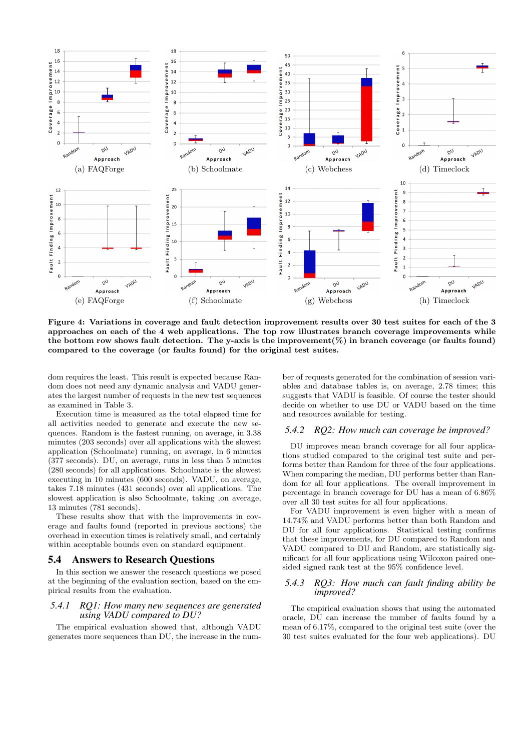

Figure 4: Variations in coverage and fault detection improvement results over 30 test suites for each of the 3 approaches on each of the 4 web applications. The top row illustrates branch coverage improvements while the bottom row shows fault detection. The y-axis is the improvement $(\%)$  in branch coverage (or faults found) compared to the coverage (or faults found) for the original test suites.

dom requires the least. This result is expected because Random does not need any dynamic analysis and VADU generates the largest number of requests in the new test sequences as examined in Table 3.

Execution time is measured as the total elapsed time for all activities needed to generate and execute the new sequences. Random is the fastest running, on average, in 3.38 minutes (203 seconds) over all applications with the slowest application (Schoolmate) running, on average, in 6 minutes (377 seconds). DU, on average, runs in less than 5 minutes (280 seconds) for all applications. Schoolmate is the slowest executing in 10 minutes (600 seconds). VADU, on average, takes 7.18 minutes (431 seconds) over all applications. The slowest application is also Schoolmate, taking ,on average, 13 minutes (781 seconds).

These results show that with the improvements in coverage and faults found (reported in previous sections) the overhead in execution times is relatively small, and certainly within acceptable bounds even on standard equipment.

### 5.4 Answers to Research Questions

In this section we answer the research questions we posed at the beginning of the evaluation section, based on the empirical results from the evaluation.

### *5.4.1 RQ1: How many new sequences are generated using VADU compared to DU?*

The empirical evaluation showed that, although VADU generates more sequences than DU, the increase in the number of requests generated for the combination of session variables and database tables is, on average, 2.78 times; this suggests that VADU is feasible. Of course the tester should decide on whether to use DU or VADU based on the time and resources available for testing.

### *5.4.2 RQ2: How much can coverage be improved?*

DU improves mean branch coverage for all four applications studied compared to the original test suite and performs better than Random for three of the four applications. When comparing the median, DU performs better than Random for all four applications. The overall improvement in percentage in branch coverage for DU has a mean of 6.86% over all 30 test suites for all four applications.

For VADU improvement is even higher with a mean of 14.74% and VADU performs better than both Random and DU for all four applications. Statistical testing confirms that these improvements, for DU compared to Random and VADU compared to DU and Random, are statistically significant for all four applications using Wilcoxon paired onesided signed rank test at the 95% confidence level.

### *5.4.3 RQ3: How much can fault finding ability be improved?*

The empirical evaluation shows that using the automated oracle, DU can increase the number of faults found by a mean of 6.17%, compared to the original test suite (over the 30 test suites evaluated for the four web applications). DU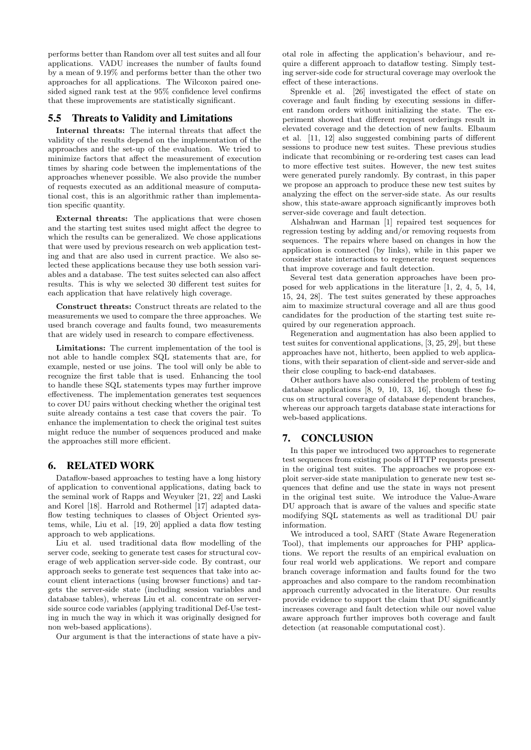performs better than Random over all test suites and all four applications. VADU increases the number of faults found by a mean of 9.19% and performs better than the other two approaches for all applications. The Wilcoxon paired onesided signed rank test at the 95% confidence level confirms that these improvements are statistically significant.

# 5.5 Threats to Validity and Limitations

Internal threats: The internal threats that affect the validity of the results depend on the implementation of the approaches and the set-up of the evaluation. We tried to minimize factors that affect the measurement of execution times by sharing code between the implementations of the approaches whenever possible. We also provide the number of requests executed as an additional measure of computational cost, this is an algorithmic rather than implementation specific quantity.

External threats: The applications that were chosen and the starting test suites used might affect the degree to which the results can be generalized. We chose applications that were used by previous research on web application testing and that are also used in current practice. We also selected these applications because they use both session variables and a database. The test suites selected can also affect results. This is why we selected 30 different test suites for each application that have relatively high coverage.

Construct threats: Construct threats are related to the measurements we used to compare the three approaches. We used branch coverage and faults found, two measurements that are widely used in research to compare effectiveness.

Limitations: The current implementation of the tool is not able to handle complex SQL statements that are, for example, nested or use joins. The tool will only be able to recognize the first table that is used. Enhancing the tool to handle these SQL statements types may further improve effectiveness. The implementation generates test sequences to cover DU pairs without checking whether the original test suite already contains a test case that covers the pair. To enhance the implementation to check the original test suites might reduce the number of sequences produced and make the approaches still more efficient.

### 6. RELATED WORK

Dataflow-based approaches to testing have a long history of application to conventional applications, dating back to the seminal work of Rapps and Weyuker [21, 22] and Laski and Korel [18]. Harrold and Rothermel [17] adapted dataflow testing techniques to classes of Object Oriented systems, while, Liu et al. [19, 20] applied a data flow testing approach to web applications.

Liu et al. used traditional data flow modelling of the server code, seeking to generate test cases for structural coverage of web application server-side code. By contrast, our approach seeks to generate test sequences that take into account client interactions (using browser functions) and targets the server-side state (including session variables and database tables), whereas Liu et al. concentrate on serverside source code variables (applying traditional Def-Use testing in much the way in which it was originally designed for non web-based applications).

Our argument is that the interactions of state have a piv-

otal role in affecting the application's behaviour, and require a different approach to dataflow testing. Simply testing server-side code for structural coverage may overlook the effect of these interactions.

Sprenkle et al. [26] investigated the effect of state on coverage and fault finding by executing sessions in different random orders without initializing the state. The experiment showed that different request orderings result in elevated coverage and the detection of new faults. Elbaum et al. [11, 12] also suggested combining parts of different sessions to produce new test suites. These previous studies indicate that recombining or re-ordering test cases can lead to more effective test suites. However, the new test suites were generated purely randomly. By contrast, in this paper we propose an approach to produce these new test suites by analyzing the effect on the server-side state. As our results show, this state-aware approach significantly improves both server-side coverage and fault detection.

Alshahwan and Harman [1] repaired test sequences for regression testing by adding and/or removing requests from sequences. The repairs where based on changes in how the application is connected (by links), while in this paper we consider state interactions to regenerate request sequences that improve coverage and fault detection.

Several test data generation approaches have been proposed for web applications in the literature [1, 2, 4, 5, 14, 15, 24, 28]. The test suites generated by these approaches aim to maximize structural coverage and all are thus good candidates for the production of the starting test suite required by our regeneration approach.

Regeneration and augmentation has also been applied to test suites for conventional applications, [3, 25, 29], but these approaches have not, hitherto, been applied to web applications, with their separation of client-side and server-side and their close coupling to back-end databases.

Other authors have also considered the problem of testing database applications [8, 9, 10, 13, 16], though these focus on structural coverage of database dependent branches, whereas our approach targets database state interactions for web-based applications.

# 7. CONCLUSION

In this paper we introduced two approaches to regenerate test sequences from existing pools of HTTP requests present in the original test suites. The approaches we propose exploit server-side state manipulation to generate new test sequences that define and use the state in ways not present in the original test suite. We introduce the Value-Aware DU approach that is aware of the values and specific state modifying SQL statements as well as traditional DU pair information.

We introduced a tool, SART (State Aware Regeneration Tool), that implements our approaches for PHP applications. We report the results of an empirical evaluation on four real world web applications. We report and compare branch coverage information and faults found for the two approaches and also compare to the random recombination approach currently advocated in the literature. Our results provide evidence to support the claim that DU significantly increases coverage and fault detection while our novel value aware approach further improves both coverage and fault detection (at reasonable computational cost).